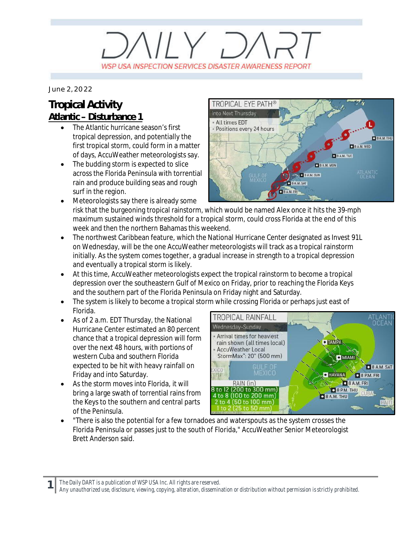## $IIIY.$ WSP USA INSPECTION SERVICES DISASTER AWARENESS REPORT

*June 2, 2022*

## **Tropical Activity Atlantic – Disturbance 1**

- The Atlantic hurricane season's first tropical depression, and potentially the first tropical storm, could form in a matter of days, AccuWeather meteorologists say.
- The budding storm is expected to slice across the Florida Peninsula with torrential rain and produce building seas and rough surf in the region.



- Meteorologists say there is already some risk that the burgeoning tropical rainstorm, which would be named Alex once it hits the 39-mph maximum sustained winds threshold for a tropical storm, could cross Florida at the end of this week and then the northern Bahamas this weekend.
- · The northwest Caribbean feature, which the National Hurricane Center designated as Invest 91L on Wednesday, will be the one AccuWeather meteorologists will track as a tropical rainstorm initially. As the system comes together, a gradual increase in strength to a tropical depression and eventually a tropical storm is likely.
- · At this time, AccuWeather meteorologists expect the tropical rainstorm to become a tropical depression over the southeastern Gulf of Mexico on Friday, prior to reaching the Florida Keys and the southern part of the Florida Peninsula on Friday night and Saturday.
- The system is likely to become a tropical storm while crossing Florida or perhaps just east of Florida.
- As of 2 a.m. EDT Thursday, the National Hurricane Center estimated an 80 percent chance that a tropical depression will form over the next 48 hours, with portions of western Cuba and southern Florida expected to be hit with heavy rainfall on Friday and into Saturday.
- As the storm moves into Florida, it will bring a large swath of torrential rains from the Keys to the southern and central parts of the Peninsula.



· "There is also the potential for a few tornadoes and waterspouts as the system crosses the Florida Peninsula or passes just to the south of Florida," AccuWeather Senior Meteorologist Brett Anderson said.

*The Daily DART is a publication of WSP USA Inc. All rights are reserved.*

**1**

*Any unauthorized use, disclosure, viewing, copying, alteration, dissemination or distribution without permission is strictly prohibited.*